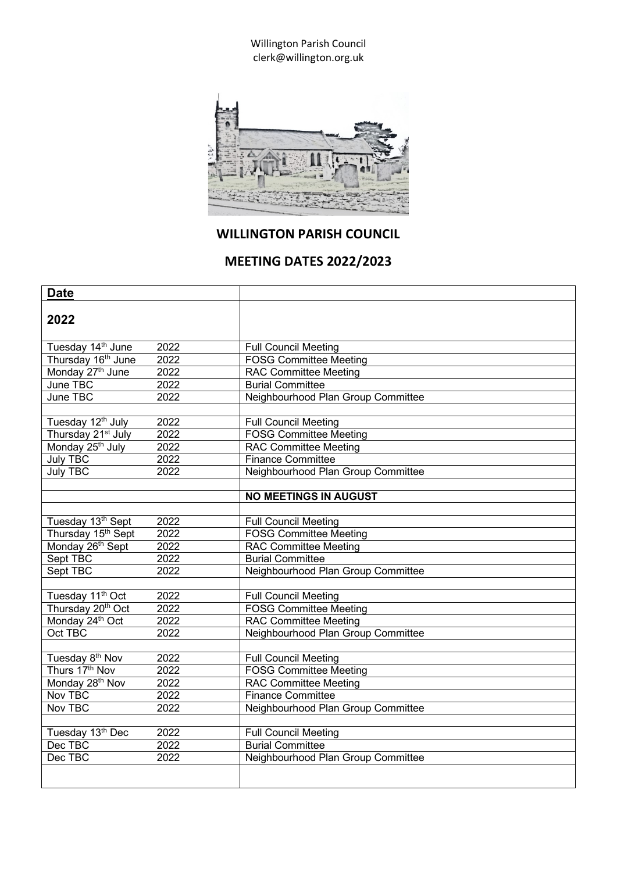Willington Parish Council clerk@willington.org.uk



## **WILLINGTON PARISH COUNCIL**

## **MEETING DATES 2022/2023**

| <b>Date</b>                    |      |                                    |
|--------------------------------|------|------------------------------------|
| 2022                           |      |                                    |
| Tuesday 14 <sup>th</sup> June  | 2022 | <b>Full Council Meeting</b>        |
| Thursday 16 <sup>th</sup> June | 2022 | <b>FOSG Committee Meeting</b>      |
| Monday 27th June               | 2022 | <b>RAC Committee Meeting</b>       |
| June TBC                       | 2022 | <b>Burial Committee</b>            |
| June TBC                       | 2022 | Neighbourhood Plan Group Committee |
|                                |      |                                    |
| Tuesday 12th July              | 2022 | <b>Full Council Meeting</b>        |
| Thursday 21 <sup>st</sup> July | 2022 | <b>FOSG Committee Meeting</b>      |
| Monday 25 <sup>th</sup> July   | 2022 | <b>RAC Committee Meeting</b>       |
| <b>July TBC</b>                | 2022 | <b>Finance Committee</b>           |
| <b>July TBC</b>                | 2022 | Neighbourhood Plan Group Committee |
|                                |      |                                    |
|                                |      | <b>NO MEETINGS IN AUGUST</b>       |
|                                |      |                                    |
| Tuesday 13 <sup>th</sup> Sept  | 2022 | <b>Full Council Meeting</b>        |
| Thursday 15 <sup>th</sup> Sept | 2022 | <b>FOSG Committee Meeting</b>      |
| Monday 26 <sup>th</sup> Sept   | 2022 | <b>RAC Committee Meeting</b>       |
| Sept TBC                       | 2022 | <b>Burial Committee</b>            |
| Sept TBC                       | 2022 | Neighbourhood Plan Group Committee |
|                                |      |                                    |
| Tuesday 11 <sup>th</sup> Oct   | 2022 | <b>Full Council Meeting</b>        |
| Thursday 20 <sup>th</sup> Oct  | 2022 | <b>FOSG Committee Meeting</b>      |
| Monday 24th Oct                | 2022 | <b>RAC Committee Meeting</b>       |
| Oct TBC                        | 2022 | Neighbourhood Plan Group Committee |
|                                |      |                                    |
| Tuesday 8 <sup>th</sup> Nov    | 2022 | <b>Full Council Meeting</b>        |
| Thurs 17th Nov                 | 2022 | <b>FOSG Committee Meeting</b>      |
| Monday 28 <sup>th</sup> Nov    | 2022 | <b>RAC Committee Meeting</b>       |
| Nov TBC                        | 2022 | <b>Finance Committee</b>           |
| Nov TBC                        | 2022 | Neighbourhood Plan Group Committee |
|                                |      |                                    |
| Tuesday 13th Dec               | 2022 | <b>Full Council Meeting</b>        |
| Dec TBC                        | 2022 | <b>Burial Committee</b>            |
| Dec TBC                        | 2022 | Neighbourhood Plan Group Committee |
|                                |      |                                    |